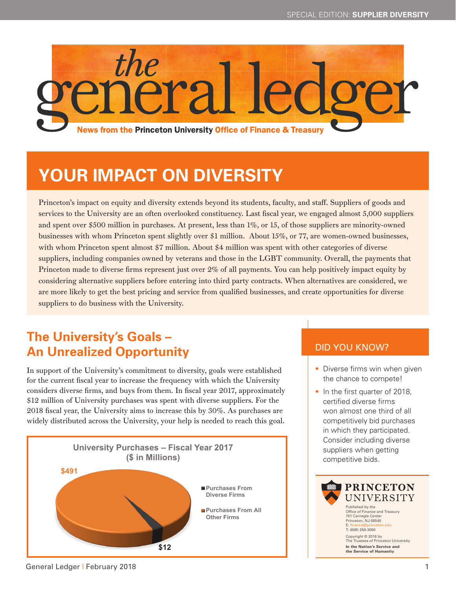

# **YOUR IMPACT ON DIVERSITY**

Princeton's impact on equity and diversity extends beyond its students, faculty, and staff. Suppliers of goods and services to the University are an often overlooked constituency. Last fiscal year, we engaged almost 5,000 suppliers and spent over \$500 million in purchases. At present, less than 1%, or 15, of those suppliers are minority-owned businesses with whom Princeton spent slightly over \$1 million. About 15%, or 77, are women-owned businesses, with whom Princeton spent almost \$7 million. About \$4 million was spent with other categories of diverse suppliers, including companies owned by veterans and those in the LGBT community. Overall, the payments that Princeton made to diverse firms represent just over 2% of all payments. You can help positively impact equity by considering alternative suppliers before entering into third party contracts. When alternatives are considered, we are more likely to get the best pricing and service from qualified businesses, and create opportunities for diverse suppliers to do business with the University.

# **The University's Goals – An Unrealized Opportunity**

In support of the University's commitment to diversity, goals were established for the current fiscal year to increase the frequency with which the University considers diverse firms, and buys from them. In fiscal year 2017, approximately \$12 million of University purchases was spent with diverse suppliers. For the 2018 fiscal year, the University aims to increase this by 30%. As purchases are widely distributed across the University, your help is needed to reach this goal.



#### DID YOU KNOW?

- Diverse firms win when given the chance to compete!
- In the first quarter of 2018, certified diverse firms won almost one third of all competitively bid purchases in which they participated. Consider including diverse suppliers when getting competitive bids.



#### General Ledger | February 2018 1